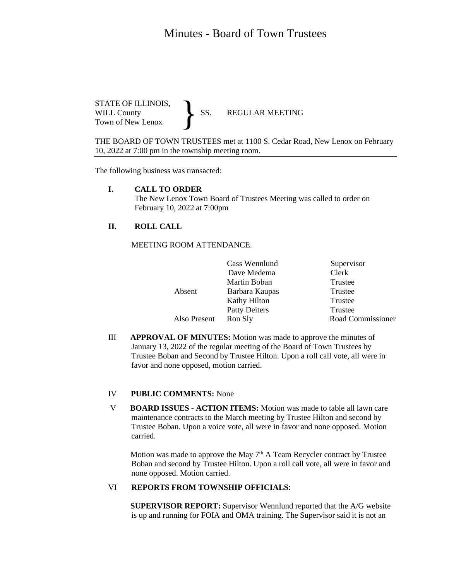# Minutes - Board of Town Trustees

STATE OF ILLINOIS,<br>WILL County SS. WILL County SS. REGULAR MEETING Town of New Lenox }

THE BOARD OF TOWN TRUSTEES met at 1100 S. Cedar Road, New Lenox on February 10, 2022 at 7:00 pm in the township meeting room.

The following business was transacted:

#### **I. CALL TO ORDER**

The New Lenox Town Board of Trustees Meeting was called to order on February 10, 2022 at 7:00pm

### **II. ROLL CALL**

MEETING ROOM ATTENDANCE.

| Cass Wennlund        | Supervisor        |
|----------------------|-------------------|
| Dave Medema          | Clerk             |
| Martin Boban         | Trustee           |
| Barbara Kaupas       | Trustee           |
| Kathy Hilton         | Trustee           |
| <b>Patty Deiters</b> | Trustee           |
| Ron Sly              | Road Commissioner |
|                      |                   |

III **APPROVAL OF MINUTES:** Motion was made to approve the minutes of January 13, 2022 of the regular meeting of the Board of Town Trustees by Trustee Boban and Second by Trustee Hilton. Upon a roll call vote, all were in favor and none opposed, motion carried.

#### IV **PUBLIC COMMENTS:** None Ī

V **BOARD ISSUES - ACTION ITEMS:** Motion was made to table all lawn care maintenance contracts to the March meeting by Trustee Hilton and second by Trustee Boban. Upon a voice vote, all were in favor and none opposed. Motion carried.

Motion was made to approve the May 7<sup>th</sup> A Team Recycler contract by Trustee Boban and second by Trustee Hilton. Upon a roll call vote, all were in favor and none opposed. Motion carried.

## VI **REPORTS FROM TOWNSHIP OFFICIALS**:

 **SUPERVISOR REPORT:** Supervisor Wennlund reported that the A/G website is up and running for FOIA and OMA training. The Supervisor said it is not an